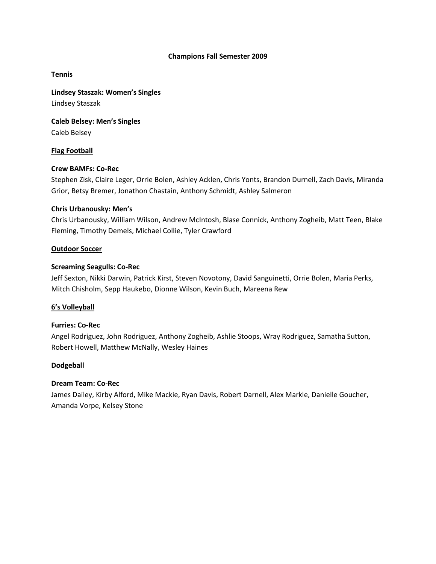## **Champions Fall Semester 2009**

# **Tennis**

**Lindsey Staszak: Women's Singles** Lindsey Staszak

**Caleb Belsey: Men's Singles** Caleb Belsey

# **Flag Football**

# **Crew BAMFs: Co-Rec**

Stephen Zisk, Claire Leger, Orrie Bolen, Ashley Acklen, Chris Yonts, Brandon Durnell, Zach Davis, Miranda Grior, Betsy Bremer, Jonathon Chastain, Anthony Schmidt, Ashley Salmeron

## **Chris Urbanousky: Men's**

Chris Urbanousky, William Wilson, Andrew McIntosh, Blase Connick, Anthony Zogheib, Matt Teen, Blake Fleming, Timothy Demels, Michael Collie, Tyler Crawford

## **Outdoor Soccer**

## **Screaming Seagulls: Co-Rec**

Jeff Sexton, Nikki Darwin, Patrick Kirst, Steven Novotony, David Sanguinetti, Orrie Bolen, Maria Perks, Mitch Chisholm, Sepp Haukebo, Dionne Wilson, Kevin Buch, Mareena Rew

# **6's Volleyball**

# **Furries: Co-Rec**

Angel Rodriguez, John Rodriguez, Anthony Zogheib, Ashlie Stoops, Wray Rodriguez, Samatha Sutton, Robert Howell, Matthew McNally, Wesley Haines

#### **Dodgeball**

# **Dream Team: Co-Rec**

James Dailey, Kirby Alford, Mike Mackie, Ryan Davis, Robert Darnell, Alex Markle, Danielle Goucher, Amanda Vorpe, Kelsey Stone